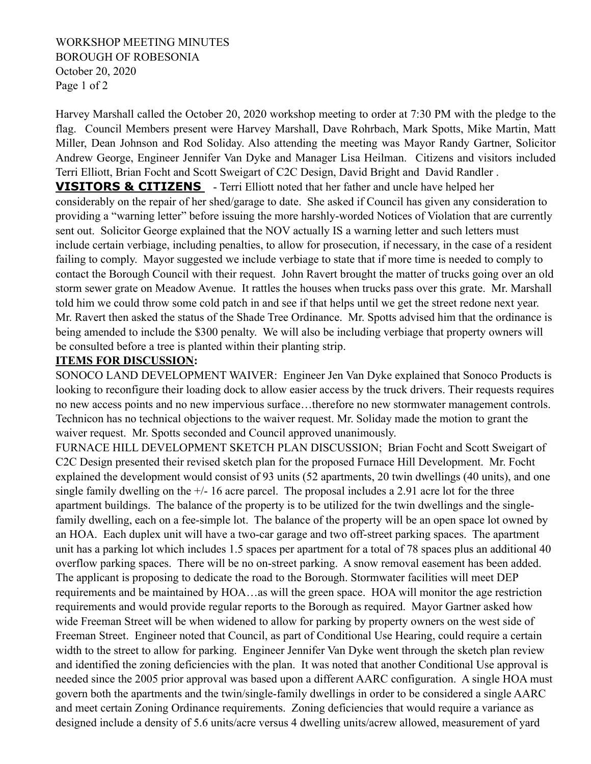## WORKSHOP MEETING MINUTES BOROUGH OF ROBESONIA October 20, 2020 Page 1 of 2

Harvey Marshall called the October 20, 2020 workshop meeting to order at 7:30 PM with the pledge to the flag. Council Members present were Harvey Marshall, Dave Rohrbach, Mark Spotts, Mike Martin, Matt Miller, Dean Johnson and Rod Soliday. Also attending the meeting was Mayor Randy Gartner, Solicitor Andrew George, Engineer Jennifer Van Dyke and Manager Lisa Heilman. Citizens and visitors included Terri Elliott, Brian Focht and Scott Sweigart of C2C Design, David Bright and David Randler .

**VISITORS & CITIZENS** - Terri Elliott noted that her father and uncle have helped her considerably on the repair of her shed/garage to date. She asked if Council has given any consideration to providing a "warning letter" before issuing the more harshly-worded Notices of Violation that are currently sent out. Solicitor George explained that the NOV actually IS a warning letter and such letters must include certain verbiage, including penalties, to allow for prosecution, if necessary, in the case of a resident failing to comply. Mayor suggested we include verbiage to state that if more time is needed to comply to contact the Borough Council with their request. John Ravert brought the matter of trucks going over an old storm sewer grate on Meadow Avenue. It rattles the houses when trucks pass over this grate. Mr. Marshall told him we could throw some cold patch in and see if that helps until we get the street redone next year. Mr. Ravert then asked the status of the Shade Tree Ordinance. Mr. Spotts advised him that the ordinance is being amended to include the \$300 penalty. We will also be including verbiage that property owners will be consulted before a tree is planted within their planting strip.

### **ITEMS FOR DISCUSSION:**

SONOCO LAND DEVELOPMENT WAIVER: Engineer Jen Van Dyke explained that Sonoco Products is looking to reconfigure their loading dock to allow easier access by the truck drivers. Their requests requires no new access points and no new impervious surface…therefore no new stormwater management controls. Technicon has no technical objections to the waiver request. Mr. Soliday made the motion to grant the waiver request. Mr. Spotts seconded and Council approved unanimously.

FURNACE HILL DEVELOPMENT SKETCH PLAN DISCUSSION; Brian Focht and Scott Sweigart of C2C Design presented their revised sketch plan for the proposed Furnace Hill Development. Mr. Focht explained the development would consist of 93 units (52 apartments, 20 twin dwellings (40 units), and one single family dwelling on the  $+/- 16$  acre parcel. The proposal includes a 2.91 acre lot for the three apartment buildings. The balance of the property is to be utilized for the twin dwellings and the singlefamily dwelling, each on a fee-simple lot. The balance of the property will be an open space lot owned by an HOA. Each duplex unit will have a two-car garage and two off-street parking spaces. The apartment unit has a parking lot which includes 1.5 spaces per apartment for a total of 78 spaces plus an additional 40 overflow parking spaces. There will be no on-street parking. A snow removal easement has been added. The applicant is proposing to dedicate the road to the Borough. Stormwater facilities will meet DEP requirements and be maintained by HOA…as will the green space. HOA will monitor the age restriction requirements and would provide regular reports to the Borough as required. Mayor Gartner asked how wide Freeman Street will be when widened to allow for parking by property owners on the west side of Freeman Street. Engineer noted that Council, as part of Conditional Use Hearing, could require a certain width to the street to allow for parking. Engineer Jennifer Van Dyke went through the sketch plan review and identified the zoning deficiencies with the plan. It was noted that another Conditional Use approval is needed since the 2005 prior approval was based upon a different AARC configuration. A single HOA must govern both the apartments and the twin/single-family dwellings in order to be considered a single AARC and meet certain Zoning Ordinance requirements. Zoning deficiencies that would require a variance as designed include a density of 5.6 units/acre versus 4 dwelling units/acrew allowed, measurement of yard